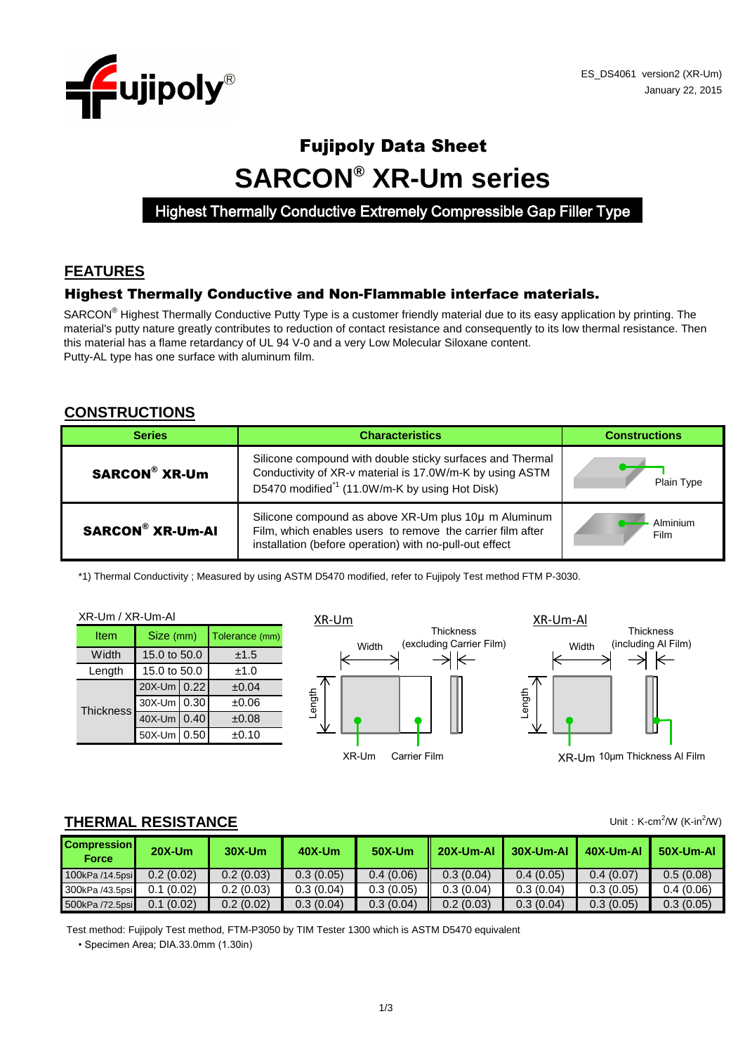

# Fujipoly Data Sheet **SARCON® XR-Um series**

Highest Thermally Conductive Extremely Compressible Gap Filler Type

# **FEATURES**

#### Highest Thermally Conductive and Non-Flammable interface materials.

SARCON<sup>®</sup> Highest Thermally Conductive Putty Type is a customer friendly material due to its easy application by printing. The material's putty nature greatly contributes to reduction of contact resistance and consequently to its low thermal resistance. Then this material has a flame retardancy of UL 94 V-0 and a very Low Molecular Siloxane content. Putty-AL type has one surface with aluminum film.

#### **CONSTRUCTIONS**

| <b>Series</b>           | <b>Characteristics</b>                                                                                                                                                              |                  |  |
|-------------------------|-------------------------------------------------------------------------------------------------------------------------------------------------------------------------------------|------------------|--|
| <b>SARCON® XR-Um</b>    | Silicone compound with double sticky surfaces and Thermal<br>Conductivity of XR-v material is 17.0W/m-K by using ASTM<br>D5470 modified <sup>*1</sup> (11.0W/m-K by using Hot Disk) | Plain Type       |  |
| <b>SARCON® XR-Um-AI</b> | Silicone compound as above XR-Um plus 10µ m Aluminum<br>Film, which enables users to remove the carrier film after<br>installation (before operation) with no-pull-out effect       | Alminium<br>Film |  |

\*1) Thermal Conductivity ; Measured by using ASTM D5470 modified, refer to Fujipoly Test method FTM P-3030.

XR-Um / XR-Um-Al  $30X$ -Um  $\big| 0.30 \big|$   $\pm 0.06$ Length **Width** Item Size (mm) 15.0 to 50.0 15.0 to 50.0 Tolerance (mm) ±1.5 ±1.0  $20X$ -Um  $\big| 0.22 \big|$   $\pm 0.04$ **Thickness** 

 $40X$ -Um  $0.40$   $\pm 0.08$  $50X$ -Um  $\begin{bmatrix} 0.50 \\ -1.10 \end{bmatrix}$   $\pm 0.10$ 





XR-Um 10μm Thickness Al Film

### **THERMAL RESISTANCE**

| <b>Compression</b><br><b>Force</b> | $20X-Um$  | $30X-Um$  | 40X-Um    | <b>50X-Um</b> | 20X-Um-Al | $\blacksquare$ 30X-Um-Al | 40X-Um-Al | 50X-Um-A  |
|------------------------------------|-----------|-----------|-----------|---------------|-----------|--------------------------|-----------|-----------|
| 100kPa /14.5psi                    | 0.2(0.02) | 0.2(0.03) | 0.3(0.05) | 0.4(0.06)     | 0.3(0.04) | 0.4(0.05)                | 0.4(0.07) | 0.5(0.08) |
| 300kPa /43.5psi                    | 0.1(0.02) | 0.2(0.03) | 0.3(0.04) | 0.3(0.05)     | 0.3(0.04) | 0.3(0.04)                | 0.3(0.05) | 0.4(0.06) |
| 500kPa /72.5psi                    | 0.1(0.02) | 0.2(0.02) | 0.3(0.04) | 0.3(0.04)     | 0.2(0.03) | 0.3(0.04)                | 0.3(0.05) | 0.3(0.05) |

Test method: Fujipoly Test method, FTM-P3050 by TIM Tester 1300 which is ASTM D5470 equivalent

• Specimen Area; DIA.33.0mm (1.30in)

Unit: K-cm<sup>2</sup>/W (K-in<sup>2</sup>/W)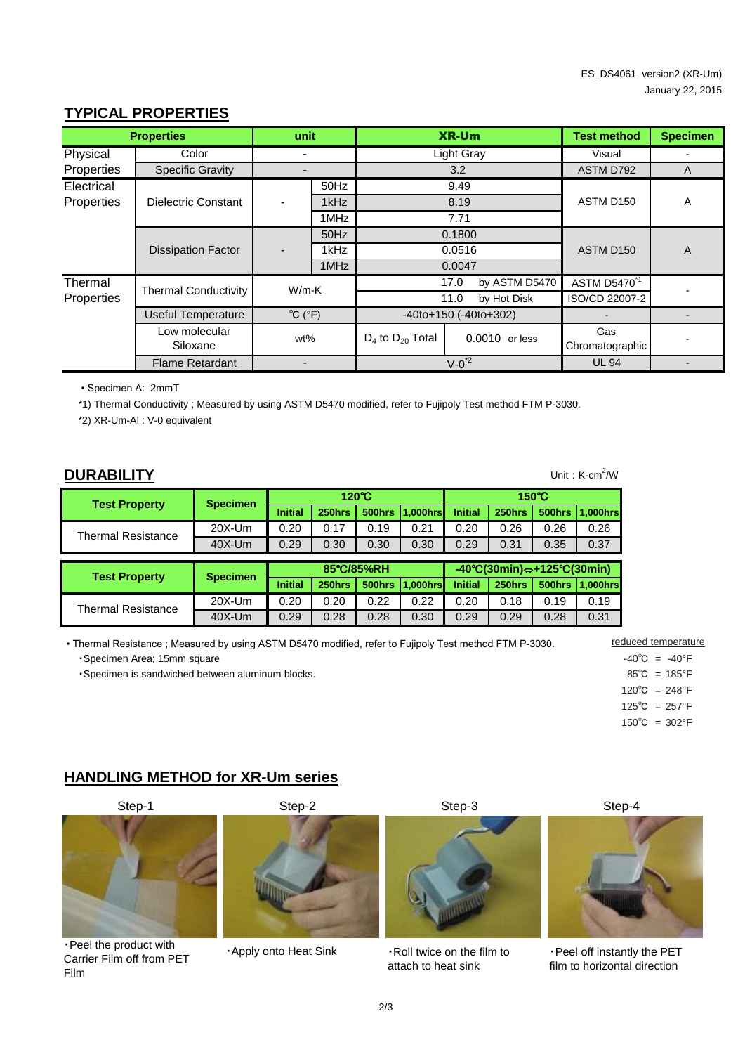# **TYPICAL PROPERTIES**

| <b>Properties</b> |                             | unit                        |      |                         | <b>XR-Um</b>                        | <b>Test method</b>       | <b>Specimen</b> |  |
|-------------------|-----------------------------|-----------------------------|------|-------------------------|-------------------------------------|--------------------------|-----------------|--|
| Physical          | Color                       |                             |      |                         | Light Gray                          | Visual                   |                 |  |
| Properties        | <b>Specific Gravity</b>     |                             |      |                         | 3.2                                 | ASTM D792                | A               |  |
| Electrical        |                             |                             | 50Hz |                         | 9.49                                |                          | A               |  |
| Properties        | Dielectric Constant         |                             | 1kHz |                         | 8.19                                | ASTM D <sub>150</sub>    |                 |  |
|                   |                             |                             | 1MHz |                         | 7.71                                |                          |                 |  |
|                   | <b>Dissipation Factor</b>   |                             | 50Hz |                         | 0.1800                              | ASTM D150                | A               |  |
|                   |                             |                             | 1kHz |                         | 0.0516                              |                          |                 |  |
|                   |                             |                             | 1MHz |                         | 0.0047                              |                          |                 |  |
| Thermal           | <b>Thermal Conductivity</b> |                             |      |                         | by ASTM D5470<br>17.0               | ASTM D5470 <sup>"1</sup> |                 |  |
| Properties        |                             | $W/m-K$                     |      | by Hot Disk<br>11.0     |                                     | ISO/CD 22007-2           |                 |  |
|                   | <b>Useful Temperature</b>   | $^{\circ}C$ ( $^{\circ}F$ ) |      |                         | $-40$ to $+150$ ( $-40$ to $+302$ ) |                          |                 |  |
|                   | Low molecular<br>Siloxane   | wt%                         |      | $D_4$ to $D_{20}$ Total | 0.0010 or less                      | Gas<br>Chromatographic   |                 |  |
|                   | <b>Flame Retardant</b>      |                             |      |                         | $V-0^2$                             | <b>UL 94</b>             |                 |  |

• Specimen A: 2mmT

\*1) Thermal Conductivity ; Measured by using ASTM D5470 modified, refer to Fujipoly Test method FTM P-3030.

\*2) XR-Um-Al : V-0 equivalent

| <b>DURABILITY</b> | Unit: $K$ -cm <sup>2</sup> |  |
|-------------------|----------------------------|--|
|                   |                            |  |

Unit:  $K$ -cm<sup>2</sup>/W

| <b>Test Property</b> | <b>Specimen</b> | $120^{\circ}$ C |        |               |          | 150°C                                                                    |        |        |          |
|----------------------|-----------------|-----------------|--------|---------------|----------|--------------------------------------------------------------------------|--------|--------|----------|
|                      |                 | <b>Initial</b>  | 250hrs | 500hrs        | .000hrs  | <b>Initial</b>                                                           | 250hrs | 500hrs | 1,000hrs |
| Thermal Resistance   | $20X-Um$        | 0.20            | 0.17   | 0.19          | 0.21     | 0.20                                                                     | 0.26   | 0.26   | 0.26     |
|                      | $40X$ -Um       | 0.29            | 0.30   | 0.30          | 0.30     | 0.29                                                                     | 0.31   | 0.35   | 0.37     |
|                      |                 |                 |        |               |          |                                                                          |        |        |          |
| <b>Test Property</b> | <b>Specimen</b> | 85°C/85%RH      |        |               |          | $-40^{\circ}C(30\text{min}) \Leftrightarrow +125^{\circ}C(30\text{min})$ |        |        |          |
|                      |                 | <b>Initial</b>  | 250hrs | <b>500hrs</b> | 1,000hrs | <b>Initial</b>                                                           | 250hrs | 500hrs | 1,000hrs |
| Thermal Resistance   | $20X-Um$        | 0.20            | 0.20   | 0.22          | 0.22     | 0.20                                                                     | 0.18   | 0.19   | 0.19     |
|                      | $40X$ -Um       | 0.29            | 0.28   | 0.28          | 0.30     | 0.29                                                                     | 0.29   | 0.28   | 0.31     |

•Specimen Area; 15mm square  $-40^{\circ}$ C =  $-40^{\circ}$ F • Thermal Resistance ; Measured by using ASTM D5470 modified, refer to Fujipoly Test method FTM P-3030. reduced temperature

・Specimen is sandwiched between aluminum blocks. 85℃ = 185°F

- 
- 
- $120^{\circ}$ C = 248 $^{\circ}$ F
- 125℃ = 257°F
- $150^{\circ}$ C = 302°F

### **HANDLING METHOD for XR-Um series**



・Peel the product with Carrier Film off from PET Film



・Apply onto Heat Sink



・Roll twice on the film to attach to heat sink



・Peel off instantly the PET film to horizontal direction